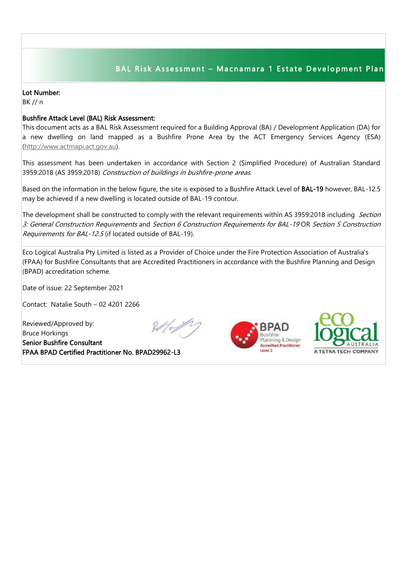## BAL Risk Assessment - Macnamara 1 Estate Development Plan

## Lot Number:

BK // n

## Bushfire Attack Level (BAL) Risk Assessment:

This document acts as a BAL Risk Assessment required for a Building Approval (BA) / Development Application (DA) for a new dwelling on land mapped as a Bushfire Prone Area by the ACT Emergency Services Agency (ESA) [\(http://www.actmapi.act.gov.au\)](http://www.actmapi.act.gov.au/).

This assessment has been undertaken in accordance with Section 2 (Simplified Procedure) of Australian Standard 3959:2018 (AS 3959:2018) Construction of buildings in bushfire-prone areas.

Based on the information in the below figure, the site is exposed to a Bushfire Attack Level of BAL-19 however, BAL-12.5 may be achieved if a new dwelling is located outside of BAL-19 contour.

The development shall be constructed to comply with the relevant requirements within AS 3959:2018 including Section 3: General Construction Requirements and Section 6 Construction Requirements for BAL-19 OR Section 5 Construction Requirements for BAL-12.5 (if located outside of BAL-19).

Eco Logical Australia Pty Limited is listed as a Provider of Choice under the Fire Protection Association of Australia's (FPAA) for Bushfire Consultants that are Accredited Practitioners in accordance with the Bushfire Planning and Design (BPAD) accreditation scheme.

Date of issue: 22 September 2021

Contact: Natalie South – 02 4201 2266

Reviewed/Approved by: Bruce Horkings Senior Bushfire Consultant FPAA BPAD Certified Practitioner No. BPAD29962-L3







I